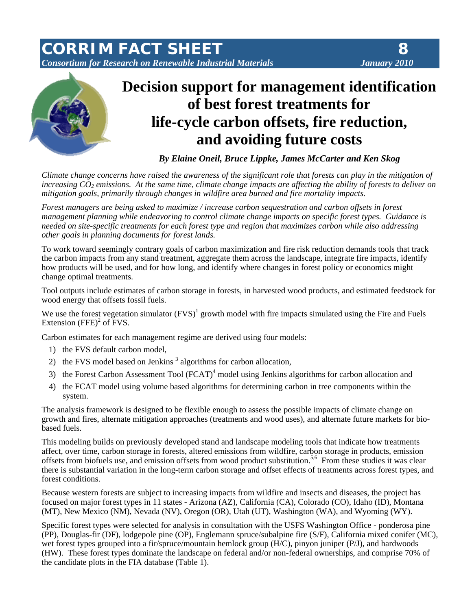*CORRIM FACT SHEET 8 Consortium for Research on Renewable Industrial Materials January 2010*





# **Decision support for management identification of best forest treatments for life-cycle carbon offsets, fire reduction, and avoiding future costs**

*By Elaine Oneil, Bruce Lippke, James McCarter and Ken Skog* 

*Climate change concerns have raised the awareness of the significant role that forests can play in the mitigation of increasing*  $CO<sub>2</sub>$  *emissions. At the same time, climate change impacts are affecting the ability of forests to deliver on mitigation goals, primarily through changes in wildfire area burned and fire mortality impacts.* 

*Forest managers are being asked to maximize / increase carbon sequestration and carbon offsets in forest management planning while endeavoring to control climate change impacts on specific forest types. Guidance is needed on site-specific treatments for each forest type and region that maximizes carbon while also addressing other goals in planning documents for forest lands.* 

To work toward seemingly contrary goals of carbon maximization and fire risk reduction demands tools that track the carbon impacts from any stand treatment, aggregate them across the landscape, integrate fire impacts, identify how products will be used, and for how long, and identify where changes in forest policy or economics might change optimal treatments.

Tool outputs include estimates of carbon storage in forests, in harvested wood products, and estimated feedstock for wood energy that offsets fossil fuels.

We use the forest vegetation simulator  $(FVS)^1$  growth model with fire impacts simulated using the Fire and Fuels Extension  $(FFE)^2$  of FVS.

Carbon estimates for each management regime are derived using four models:

- 1) the FVS default carbon model,
- 2) the FVS model based on Jenkins<sup>3</sup> algorithms for carbon allocation,
- 3) the Forest Carbon Assessment Tool (FCAT)<sup>4</sup> model using Jenkins algorithms for carbon allocation and
- 4) the FCAT model using volume based algorithms for determining carbon in tree components within the system.

The analysis framework is designed to be flexible enough to assess the possible impacts of climate change on growth and fires, alternate mitigation approaches (treatments and wood uses), and alternate future markets for biobased fuels.

This modeling builds on previously developed stand and landscape modeling tools that indicate how treatments affect, over time, carbon storage in forests, altered emissions from wildfire, carbon storage in products, emission offsets from biofuels use, and emission offsets from wood product substitution.<sup>5,6</sup> From these studies it was clear there is substantial variation in the long-term carbon storage and offset effects of treatments across forest types, and forest conditions.

Because western forests are subject to increasing impacts from wildfire and insects and diseases, the project has focused on major forest types in 11 states - Arizona (AZ), California (CA), Colorado (CO), Idaho (ID), Montana (MT), New Mexico (NM), Nevada (NV), Oregon (OR), Utah (UT), Washington (WA), and Wyoming (WY).

Specific forest types were selected for analysis in consultation with the USFS Washington Office - ponderosa pine (PP), Douglas-fir (DF), lodgepole pine (OP), Englemann spruce/subalpine fire (S/F), California mixed conifer (MC), wet forest types grouped into a fir/spruce/mountain hemlock group (H/C), pinyon juniper (P/J), and hardwoods (HW). These forest types dominate the landscape on federal and/or non-federal ownerships, and comprise 70% of the candidate plots in the FIA database (Table 1).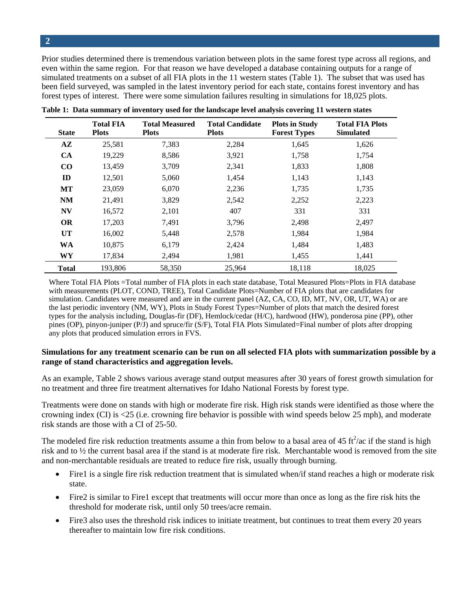Prior studies determined there is tremendous variation between plots in the same forest type across all regions, and even within the same region. For that reason we have developed a database containing outputs for a range of simulated treatments on a subset of all FIA plots in the 11 western states (Table 1). The subset that was used has been field surveyed, was sampled in the latest inventory period for each state, contains forest inventory and has forest types of interest. There were some simulation failures resulting in simulations for 18,025 plots.

| <b>State</b>  | <b>Total FIA</b><br><b>Plots</b> | <b>Total Measured</b><br><b>Plots</b> | <b>Total Candidate</b><br><b>Plots</b> | <b>Plots in Study</b><br><b>Forest Types</b> | <b>Total FIA Plots</b><br><b>Simulated</b> |
|---------------|----------------------------------|---------------------------------------|----------------------------------------|----------------------------------------------|--------------------------------------------|
| $A\mathbf{Z}$ | 25,581                           | 7,383                                 | 2,284                                  | 1,645                                        | 1,626                                      |
| <b>CA</b>     | 19,229                           | 8,586                                 | 3,921                                  | 1,758                                        | 1,754                                      |
| $\bf CO$      | 13,459                           | 3,709                                 | 2,341                                  | 1,833                                        | 1,808                                      |
| ID            | 12,501                           | 5,060                                 | 1,454                                  | 1,143                                        | 1,143                                      |
| MT            | 23,059                           | 6,070                                 | 2,236                                  | 1,735                                        | 1,735                                      |
| <b>NM</b>     | 21,491                           | 3,829                                 | 2,542                                  | 2,252                                        | 2,223                                      |
| <b>NV</b>     | 16,572                           | 2,101                                 | 407                                    | 331                                          | 331                                        |
| <b>OR</b>     | 17,203                           | 7,491                                 | 3,796                                  | 2,498                                        | 2,497                                      |
| <b>UT</b>     | 16,002                           | 5,448                                 | 2,578                                  | 1,984                                        | 1,984                                      |
| <b>WA</b>     | 10,875                           | 6,179                                 | 2,424                                  | 1,484                                        | 1,483                                      |
| <b>WY</b>     | 17,834                           | 2,494                                 | 1,981                                  | 1,455                                        | 1,441                                      |
| <b>Total</b>  | 193,806                          | 58,350                                | 25,964                                 | 18,118                                       | 18,025                                     |

**Table 1: Data summary of inventory used for the landscape level analysis covering 11 western states** 

Where Total FIA Plots =Total number of FIA plots in each state database, Total Measured Plots=Plots in FIA database with measurements (PLOT, COND, TREE), Total Candidate Plots=Number of FIA plots that are candidates for simulation. Candidates were measured and are in the current panel (AZ, CA, CO, ID, MT, NV, OR, UT, WA) or are the last periodic inventory (NM, WY), Plots in Study Forest Types=Number of plots that match the desired forest types for the analysis including, Douglas-fir (DF), Hemlock/cedar (H/C), hardwood (HW), ponderosa pine (PP), other pines (OP), pinyon-juniper (P/J) and spruce/fir (S/F), Total FIA Plots Simulated=Final number of plots after dropping any plots that produced simulation errors in FVS.

#### **Simulations for any treatment scenario can be run on all selected FIA plots with summarization possible by a range of stand characteristics and aggregation levels.**

As an example, Table 2 shows various average stand output measures after 30 years of forest growth simulation for no treatment and three fire treatment alternatives for Idaho National Forests by forest type.

Treatments were done on stands with high or moderate fire risk. High risk stands were identified as those where the crowning index (CI) is <25 (i.e. crowning fire behavior is possible with wind speeds below 25 mph), and moderate risk stands are those with a CI of 25-50.

The modeled fire risk reduction treatments assume a thin from below to a basal area of  $45 \text{ ft}^2/\text{ac}}$  if the stand is high risk and to ½ the current basal area if the stand is at moderate fire risk. Merchantable wood is removed from the site and non-merchantable residuals are treated to reduce fire risk, usually through burning.

- Fire1 is a single fire risk reduction treatment that is simulated when/if stand reaches a high or moderate risk state.
- Fire2 is similar to Fire1 except that treatments will occur more than once as long as the fire risk hits the threshold for moderate risk, until only 50 trees/acre remain.
- Fire3 also uses the threshold risk indices to initiate treatment, but continues to treat them every 20 years thereafter to maintain low fire risk conditions.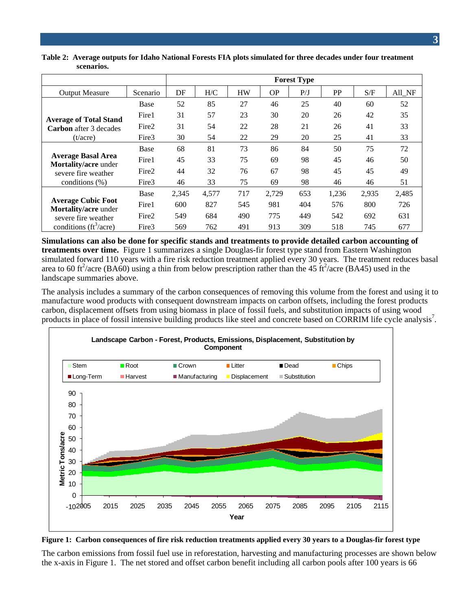|                                                          |             | <b>Forest Type</b> |       |           |           |     |       |       |        |  |
|----------------------------------------------------------|-------------|--------------------|-------|-----------|-----------|-----|-------|-------|--------|--|
| <b>Output Measure</b>                                    | Scenario    | DF                 | H/C   | <b>HW</b> | <b>OP</b> | P/J | PP    | S/F   | All_NF |  |
|                                                          | Base        | 52                 | 85    | 27        | 46        | 25  | 40    | 60    | 52     |  |
| <b>Average of Total Stand</b>                            | Fire1       | 31                 | 57    | 23        | 30        | 20  | 26    | 42    | 35     |  |
| <b>Carbon</b> after 3 decades                            | Fire2       | 31                 | 54    | 22        | 28        | 21  | 26    | 41    | 33     |  |
| (t/acre)                                                 | Fire3       | 30                 | 54    | 22        | 29        | 20  | 25    | 41    | 33     |  |
|                                                          | Base        | 68                 | 81    | 73        | 86        | 84  | 50    | 75    | 72     |  |
| <b>Average Basal Area</b><br><b>Mortality/acre</b> under | Fire1       | 45                 | 33    | 75        | 69        | 98  | 45    | 46    | 50     |  |
| severe fire weather                                      | Fire2       | 44                 | 32    | 76        | 67        | 98  | 45    | 45    | 49     |  |
| conditions $(\%)$                                        | Fire3       | 46                 | 33    | 75        | 69        | 98  | 46    | 46    | 51     |  |
|                                                          | <b>Base</b> | 2,345              | 4,577 | 717       | 2,729     | 653 | 1,236 | 2,935 | 2,485  |  |
| <b>Average Cubic Foot</b><br><b>Mortality/acre</b> under | Fire1       | 600                | 827   | 545       | 981       | 404 | 576   | 800   | 726    |  |
| severe fire weather                                      | Fire2       | 549                | 684   | 490       | 775       | 449 | 542   | 692   | 631    |  |
| conditions ( $ft^3/acre$ )                               | Fire3       | 569                | 762   | 491       | 913       | 309 | 518   | 745   | 677    |  |

#### **Table 2: Average outputs for Idaho National Forests FIA plots simulated for three decades under four treatment scenarios.**

**Simulations can also be done for specific stands and treatments to provide detailed carbon accounting of treatments over time.** Figure 1 summarizes a single Douglas-fir forest type stand from Eastern Washington simulated forward 110 years with a fire risk reduction treatment applied every 30 years. The treatment reduces basal area to 60 ft<sup>2</sup>/acre (BA60) using a thin from below prescription rather than the 45 ft<sup>2</sup>/acre (BA45) used in the landscape summaries above.

The analysis includes a summary of the carbon consequences of removing this volume from the forest and using it to manufacture wood products with consequent downstream impacts on carbon offsets, including the forest products carbon, displacement offsets from using biomass in place of fossil fuels, and substitution impacts of using wood products in place of fossil intensive building products like steel and concrete based on CORRIM life cycle analysis<sup>7</sup>.





The carbon emissions from fossil fuel use in reforestation, harvesting and manufacturing processes are shown below the x-axis in Figure 1. The net stored and offset carbon benefit including all carbon pools after 100 years is 66